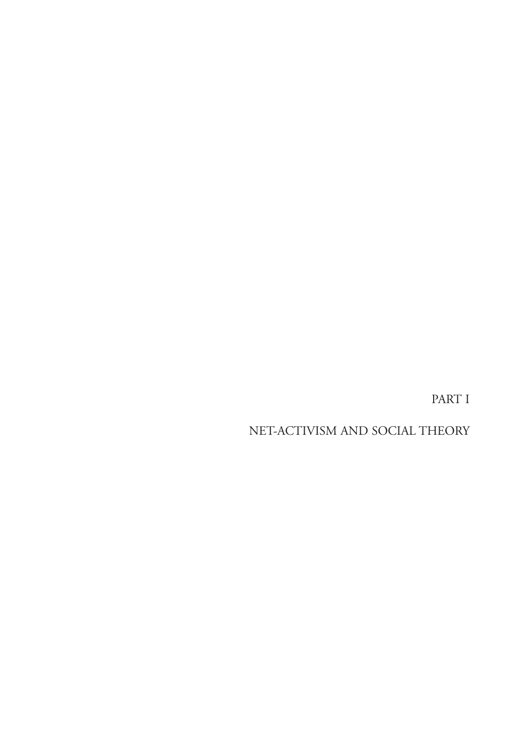PART I

NET-ACTIVISM AND SOCIAL THEORY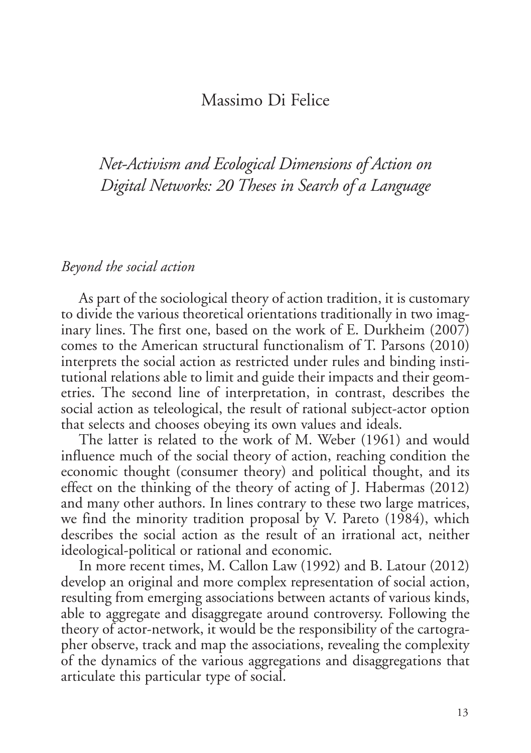## Massimo Di Felice

*Net-Activism and Ecological Dimensions of Action on Digital Networks: 20 Theses in Search of a Language*

## *Beyond the social action*

As part of the sociological theory of action tradition, it is customary to divide the various theoretical orientations traditionally in two imaginary lines. The first one, based on the work of E. Durkheim (2007) comes to the American structural functionalism of T. Parsons (2010) interprets the social action as restricted under rules and binding institutional relations able to limit and guide their impacts and their geometries. The second line of interpretation, in contrast, describes the social action as teleological, the result of rational subject-actor option that selects and chooses obeying its own values and ideals.

The latter is related to the work of M. Weber (1961) and would influence much of the social theory of action, reaching condition the economic thought (consumer theory) and political thought, and its effect on the thinking of the theory of acting of J. Habermas (2012) and many other authors. In lines contrary to these two large matrices, we find the minority tradition proposal by V. Pareto (1984), which describes the social action as the result of an irrational act, neither ideological-political or rational and economic.

In more recent times, M. Callon Law (1992) and B. Latour (2012) develop an original and more complex representation of social action, resulting from emerging associations between actants of various kinds, able to aggregate and disaggregate around controversy. Following the theory of actor-network, it would be the responsibility of the cartographer observe, track and map the associations, revealing the complexity of the dynamics of the various aggregations and disaggregations that articulate this particular type of social.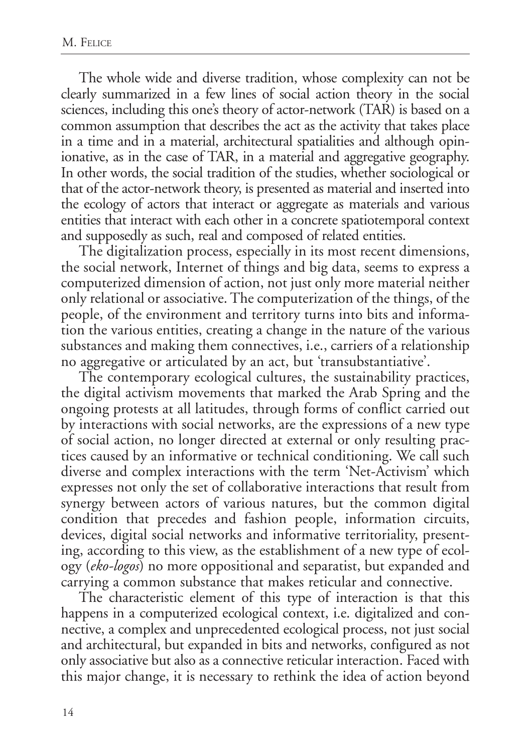The whole wide and diverse tradition, whose complexity can not be clearly summarized in a few lines of social action theory in the social sciences, including this one's theory of actor-network (TAR) is based on a common assumption that describes the act as the activity that takes place in a time and in a material, architectural spatialities and although opinionative, as in the case of TAR, in a material and aggregative geography. In other words, the social tradition of the studies, whether sociological or that of the actor-network theory, is presented as material and inserted into the ecology of actors that interact or aggregate as materials and various entities that interact with each other in a concrete spatiotemporal context and supposedly as such, real and composed of related entities.

The digitalization process, especially in its most recent dimensions, the social network, Internet of things and big data, seems to express a computerized dimension of action, not just only more material neither only relational or associative. The computerization of the things, of the people, of the environment and territory turns into bits and information the various entities, creating a change in the nature of the various substances and making them connectives, i.e., carriers of a relationship no aggregative or articulated by an act, but 'transubstantiative'.

The contemporary ecological cultures, the sustainability practices, the digital activism movements that marked the Arab Spring and the ongoing protests at all latitudes, through forms of conflict carried out by interactions with social networks, are the expressions of a new type of social action, no longer directed at external or only resulting practices caused by an informative or technical conditioning. We call such diverse and complex interactions with the term 'Net-Activism' which expresses not only the set of collaborative interactions that result from synergy between actors of various natures, but the common digital condition that precedes and fashion people, information circuits, devices, digital social networks and informative territoriality, presenting, according to this view, as the establishment of a new type of ecology (*eko-logos*) no more oppositional and separatist, but expanded and carrying a common substance that makes reticular and connective.

The characteristic element of this type of interaction is that this happens in a computerized ecological context, i.e. digitalized and connective, a complex and unprecedented ecological process, not just social and architectural, but expanded in bits and networks, configured as not only associative but also as a connective reticular interaction. Faced with this major change, it is necessary to rethink the idea of action beyond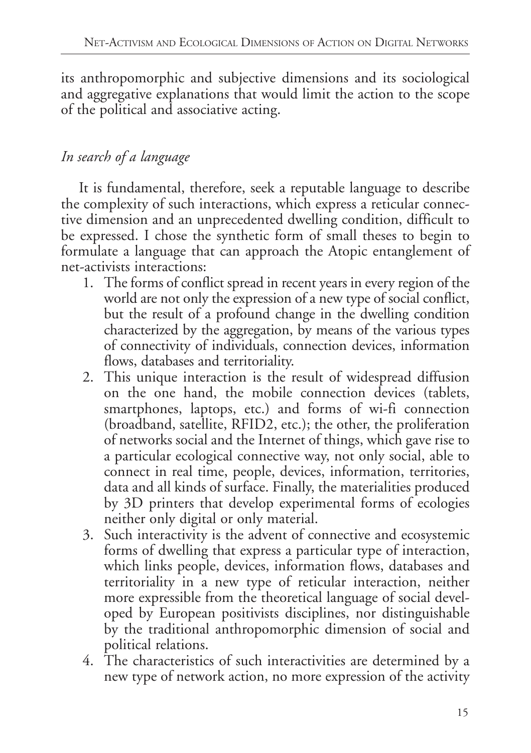its anthropomorphic and subjective dimensions and its sociological and aggregative explanations that would limit the action to the scope of the political and associative acting.

## *In search of a language*

It is fundamental, therefore, seek a reputable language to describe the complexity of such interactions, which express a reticular connective dimension and an unprecedented dwelling condition, difficult to be expressed. I chose the synthetic form of small theses to begin to formulate a language that can approach the Atopic entanglement of net-activists interactions:

- 1. The forms of conflict spread in recent years in every region of the world are not only the expression of a new type of social conflict, but the result of a profound change in the dwelling condition characterized by the aggregation, by means of the various types of connectivity of individuals, connection devices, information flows, databases and territoriality.
- 2. This unique interaction is the result of widespread diffusion on the one hand, the mobile connection devices (tablets, smartphones, laptops, etc.) and forms of wi-fi connection (broadband, satellite, RFID2, etc.); the other, the proliferation of networks social and the Internet of things, which gave rise to a particular ecological connective way, not only social, able to connect in real time, people, devices, information, territories, data and all kinds of surface. Finally, the materialities produced by 3D printers that develop experimental forms of ecologies neither only digital or only material.
- 3. Such interactivity is the advent of connective and ecosystemic forms of dwelling that express a particular type of interaction, which links people, devices, information flows, databases and territoriality in a new type of reticular interaction, neither more expressible from the theoretical language of social developed by European positivists disciplines, nor distinguishable by the traditional anthropomorphic dimension of social and political relations.
- 4. The characteristics of such interactivities are determined by a new type of network action, no more expression of the activity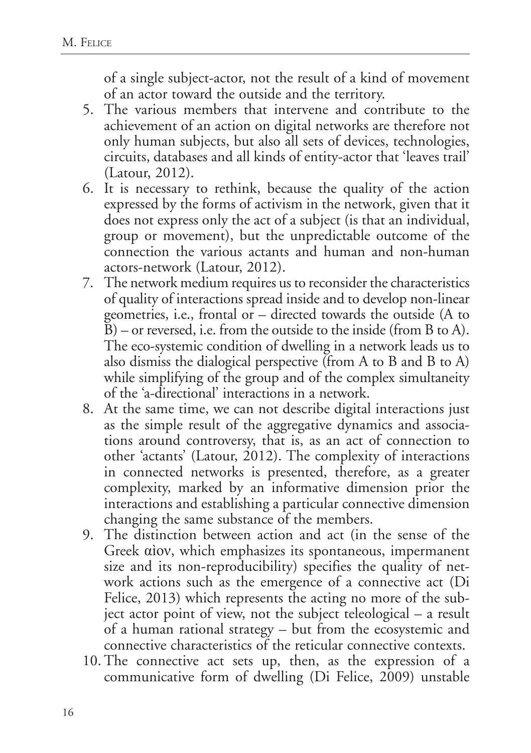of a single subject-actor, not the result of a kind of movement of an actor toward the outside and the territory.

- 5. The various members that intervene and contribute to the achievement of an action on digital networks are therefore not only human subjects, but also all sets of devices, technologies, circuits, databases and all kinds of entity-actor that 'leaves trail' (Latour, 2012).
- 6. It is necessary to rethink, because the quality of the action expressed by the forms of activism in the network, given that it does not express only the act of a subject (is that an individual, group or movement), but the unpredictable outcome of the connection the various actants and human and non-human actors-network (Latour, 2012).
- 7. The network medium requires us to reconsider the characteristics of quality of interactions spread inside and to develop non-linear geometries, i.e., frontal or – directed towards the outside (A to B) – or reversed, i.e. from the outside to the inside (from B to A). The eco-systemic condition of dwelling in a network leads us to also dismiss the dialogical perspective (from A to B and B to A) while simplifying of the group and of the complex simultaneity of the 'a-directional' interactions in a network.
- 8. At the same time, we can not describe digital interactions just as the simple result of the aggregative dynamics and associations around controversy, that is, as an act of connection to other 'actants' (Latour, 2012). The complexity of interactions in connected networks is presented, therefore, as a greater complexity, marked by an informative dimension prior the interactions and establishing a particular connective dimension changing the same substance of the members.
- 9. The distinction between action and act (in the sense of the Greek αìον, which emphasizes its spontaneous, impermanent size and its non-reproducibility) specifies the quality of network actions such as the emergence of a connective act (Di Felice, 2013) which represents the acting no more of the subject actor point of view, not the subject teleological – a result of a human rational strategy – but from the ecosystemic and connective characteristics of the reticular connective contexts.
- 10. The connective act sets up, then, as the expression of a communicative form of dwelling (Di Felice, 2009) unstable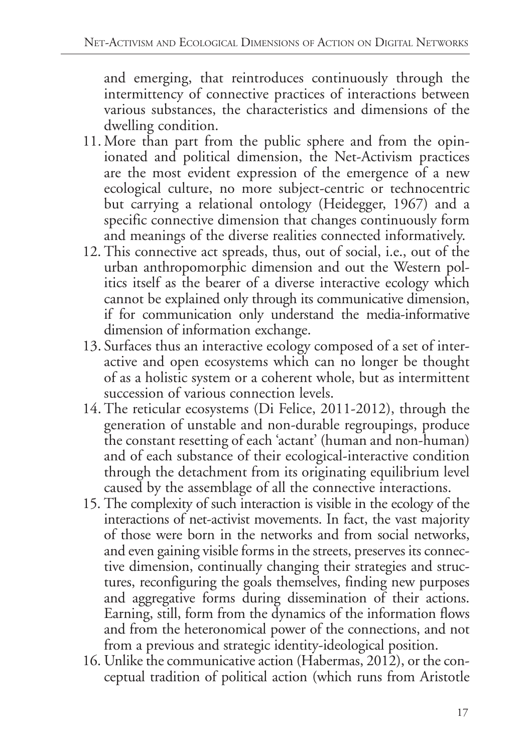and emerging, that reintroduces continuously through the intermittency of connective practices of interactions between various substances, the characteristics and dimensions of the dwelling condition.

- 11. More than part from the public sphere and from the opinionated and political dimension, the Net-Activism practices are the most evident expression of the emergence of a new ecological culture, no more subject-centric or technocentric but carrying a relational ontology (Heidegger, 1967) and a specific connective dimension that changes continuously form and meanings of the diverse realities connected informatively.
- 12. This connective act spreads, thus, out of social, i.e., out of the urban anthropomorphic dimension and out the Western politics itself as the bearer of a diverse interactive ecology which cannot be explained only through its communicative dimension, if for communication only understand the media-informative dimension of information exchange.
- 13. Surfaces thus an interactive ecology composed of a set of interactive and open ecosystems which can no longer be thought of as a holistic system or a coherent whole, but as intermittent succession of various connection levels.
- 14. The reticular ecosystems (Di Felice, 2011-2012), through the generation of unstable and non-durable regroupings, produce the constant resetting of each 'actant' (human and non-human) and of each substance of their ecological-interactive condition through the detachment from its originating equilibrium level caused by the assemblage of all the connective interactions.
- 15. The complexity of such interaction is visible in the ecology of the interactions of net-activist movements. In fact, the vast majority of those were born in the networks and from social networks, and even gaining visible forms in the streets, preserves its connective dimension, continually changing their strategies and structures, reconfiguring the goals themselves, finding new purposes and aggregative forms during dissemination of their actions. Earning, still, form from the dynamics of the information flows and from the heteronomical power of the connections, and not from a previous and strategic identity-ideological position.
- 16. Unlike the communicative action (Habermas, 2012), or the conceptual tradition of political action (which runs from Aristotle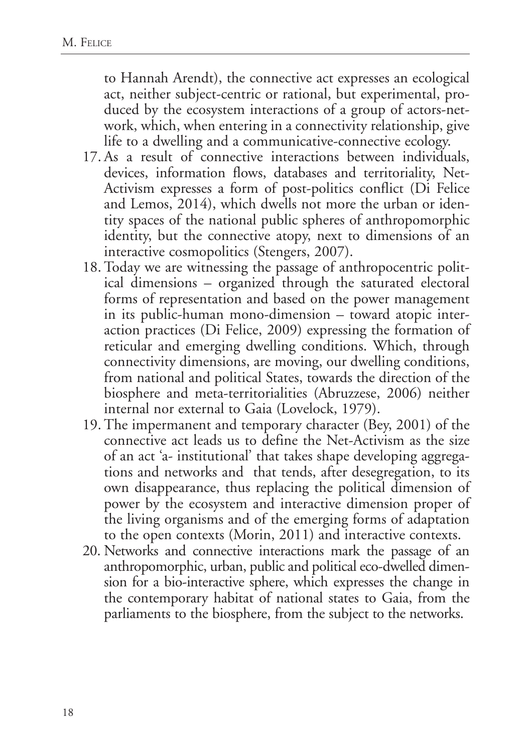to Hannah Arendt), the connective act expresses an ecological act, neither subject-centric or rational, but experimental, produced by the ecosystem interactions of a group of actors-network, which, when entering in a connectivity relationship, give life to a dwelling and a communicative-connective ecology.

- 17. As a result of connective interactions between individuals, devices, information flows, databases and territoriality, Net-Activism expresses a form of post-politics conflict (Di Felice and Lemos, 2014), which dwells not more the urban or identity spaces of the national public spheres of anthropomorphic identity, but the connective atopy, next to dimensions of an interactive cosmopolitics (Stengers, 2007).
- 18. Today we are witnessing the passage of anthropocentric political dimensions – organized through the saturated electoral forms of representation and based on the power management in its public-human mono-dimension – toward atopic interaction practices (Di Felice, 2009) expressing the formation of reticular and emerging dwelling conditions. Which, through connectivity dimensions, are moving, our dwelling conditions, from national and political States, towards the direction of the biosphere and meta-territorialities (Abruzzese, 2006) neither internal nor external to Gaia (Lovelock, 1979).
- 19. The impermanent and temporary character (Bey, 2001) of the connective act leads us to define the Net-Activism as the size of an act 'a- institutional' that takes shape developing aggregations and networks and that tends, after desegregation, to its own disappearance, thus replacing the political dimension of power by the ecosystem and interactive dimension proper of the living organisms and of the emerging forms of adaptation to the open contexts (Morin, 2011) and interactive contexts.
- 20. Networks and connective interactions mark the passage of an anthropomorphic, urban, public and political eco-dwelled dimension for a bio-interactive sphere, which expresses the change in the contemporary habitat of national states to Gaia, from the parliaments to the biosphere, from the subject to the networks.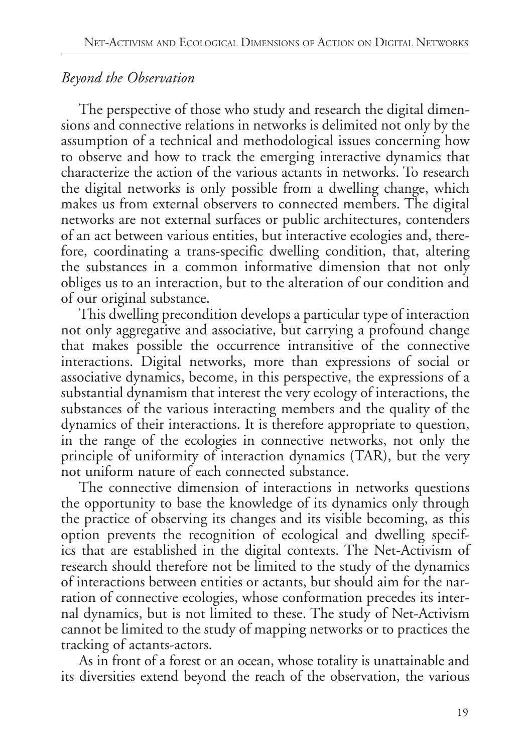## *Beyond the Observation*

The perspective of those who study and research the digital dimensions and connective relations in networks is delimited not only by the assumption of a technical and methodological issues concerning how to observe and how to track the emerging interactive dynamics that characterize the action of the various actants in networks. To research the digital networks is only possible from a dwelling change, which makes us from external observers to connected members. The digital networks are not external surfaces or public architectures, contenders of an act between various entities, but interactive ecologies and, therefore, coordinating a trans-specific dwelling condition, that, altering the substances in a common informative dimension that not only obliges us to an interaction, but to the alteration of our condition and of our original substance.

This dwelling precondition develops a particular type of interaction not only aggregative and associative, but carrying a profound change that makes possible the occurrence intransitive of the connective interactions. Digital networks, more than expressions of social or associative dynamics, become, in this perspective, the expressions of a substantial dynamism that interest the very ecology of interactions, the substances of the various interacting members and the quality of the dynamics of their interactions. It is therefore appropriate to question, in the range of the ecologies in connective networks, not only the principle of uniformity of interaction dynamics (TAR), but the very not uniform nature of each connected substance.

The connective dimension of interactions in networks questions the opportunity to base the knowledge of its dynamics only through the practice of observing its changes and its visible becoming, as this option prevents the recognition of ecological and dwelling specifics that are established in the digital contexts. The Net-Activism of research should therefore not be limited to the study of the dynamics of interactions between entities or actants, but should aim for the narration of connective ecologies, whose conformation precedes its internal dynamics, but is not limited to these. The study of Net-Activism cannot be limited to the study of mapping networks or to practices the tracking of actants-actors.

As in front of a forest or an ocean, whose totality is unattainable and its diversities extend beyond the reach of the observation, the various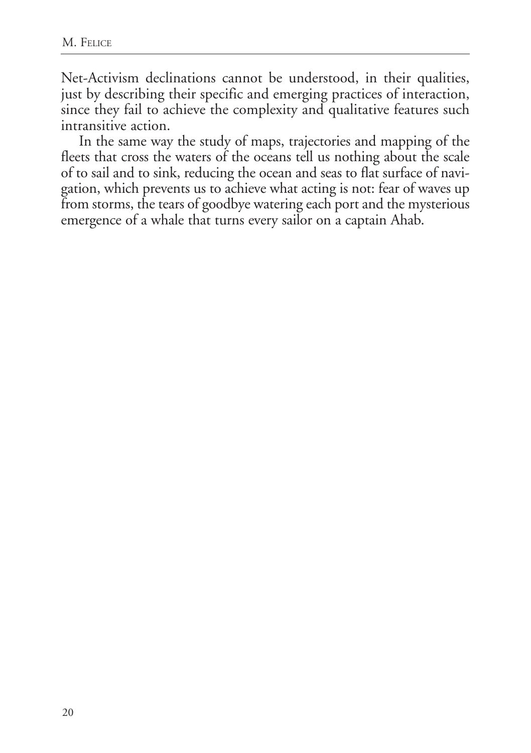Net-Activism declinations cannot be understood, in their qualities, just by describing their specific and emerging practices of interaction, since they fail to achieve the complexity and qualitative features such intransitive action.

In the same way the study of maps, trajectories and mapping of the fleets that cross the waters of the oceans tell us nothing about the scale of to sail and to sink, reducing the ocean and seas to flat surface of navigation, which prevents us to achieve what acting is not: fear of waves up from storms, the tears of goodbye watering each port and the mysterious emergence of a whale that turns every sailor on a captain Ahab.